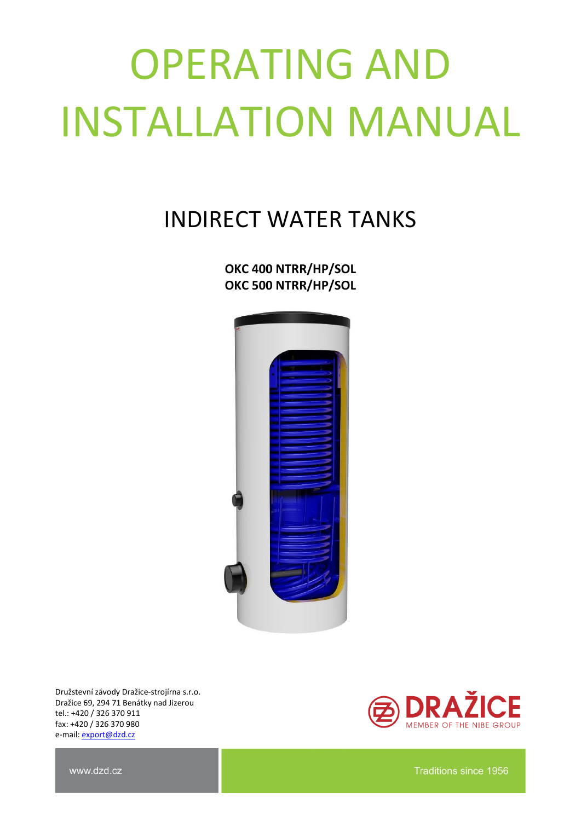# OPERATING AND INSTALLATION MANUAL

## INDIRECT WATER TANKS

### **OKC 400 NTRR/HP/SOL OKC 500 NTRR/HP/SOL**



Družstevní závody Dražice-strojírna s.r.o. Dražice 69, 294 71 Benátky nad Jizerou tel.: +420 / 326 370 911 fax: +420 / 326 370 980 e-mail: [export@dzd.cz](mailto:export@dzd.cz)



www.dzd.cz

Traditions since 1956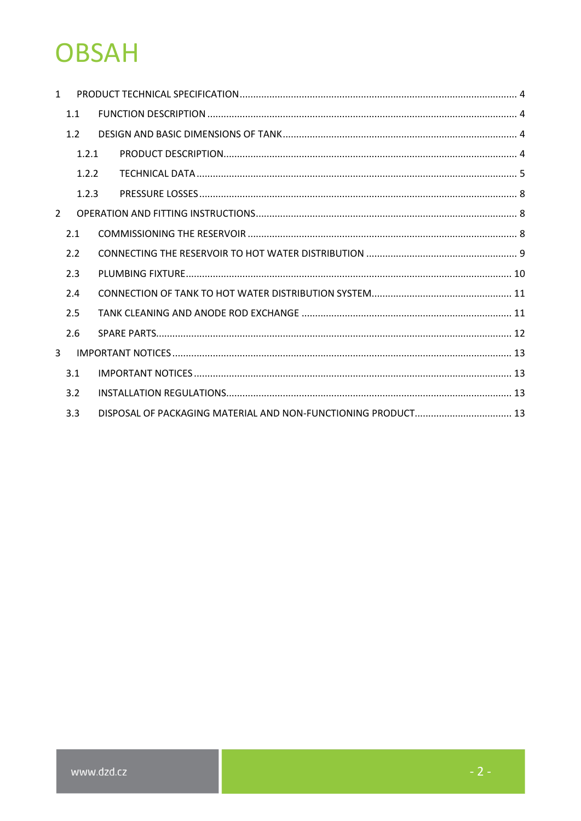## **OBSAH**

| $\mathbf{1}$   |       |  |
|----------------|-------|--|
|                | 1.1   |  |
|                | 1.2   |  |
|                | 1.2.1 |  |
|                | 1.2.2 |  |
|                | 1.2.3 |  |
| $\overline{2}$ |       |  |
|                | 2.1   |  |
|                | 2.2   |  |
|                | 2.3   |  |
|                | 2.4   |  |
|                | 2.5   |  |
|                | 2.6   |  |
| $\overline{3}$ |       |  |
|                | 3.1   |  |
|                | 3.2   |  |
|                | 3.3   |  |

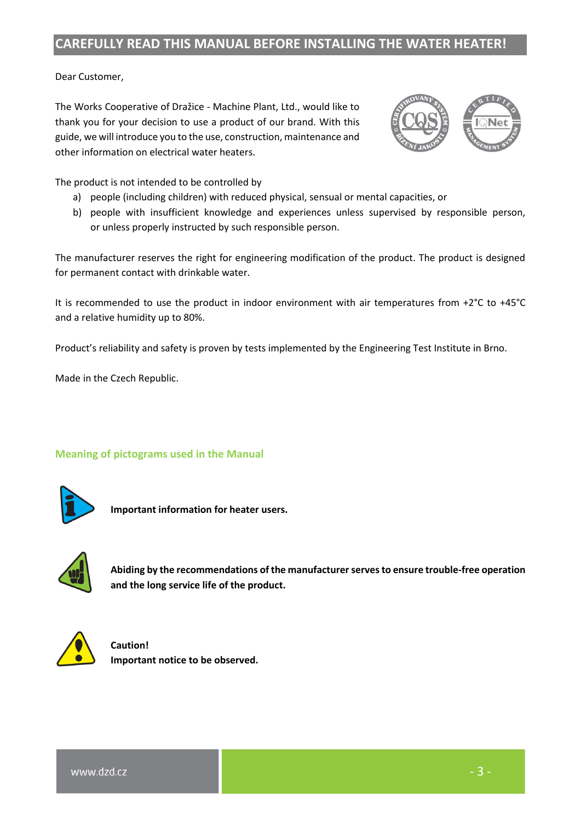#### **CAREFULLY READ THIS MANUAL BEFORE INSTALLING THE WATER HEATER!**

#### Dear Customer,

The Works Cooperative of Dražice - Machine Plant, Ltd., would like to thank you for your decision to use a product of our brand. With this guide, we will introduce you to the use, construction, maintenance and other information on electrical water heaters.



The product is not intended to be controlled by

- a) people (including children) with reduced physical, sensual or mental capacities, or
- b) people with insufficient knowledge and experiences unless supervised by responsible person, or unless properly instructed by such responsible person.

The manufacturer reserves the right for engineering modification of the product. The product is designed for permanent contact with drinkable water.

It is recommended to use the product in indoor environment with air temperatures from +2°C to +45°C and a relative humidity up to 80%.

Product's reliability and safety is proven by tests implemented by the Engineering Test Institute in Brno.

Made in the Czech Republic.

**Meaning of pictograms used in the Manual**



**Important information for heater users.**



**Abiding by the recommendations of the manufacturer serves to ensure trouble-free operation and the long service life of the product.**



**Caution! Important notice to be observed.**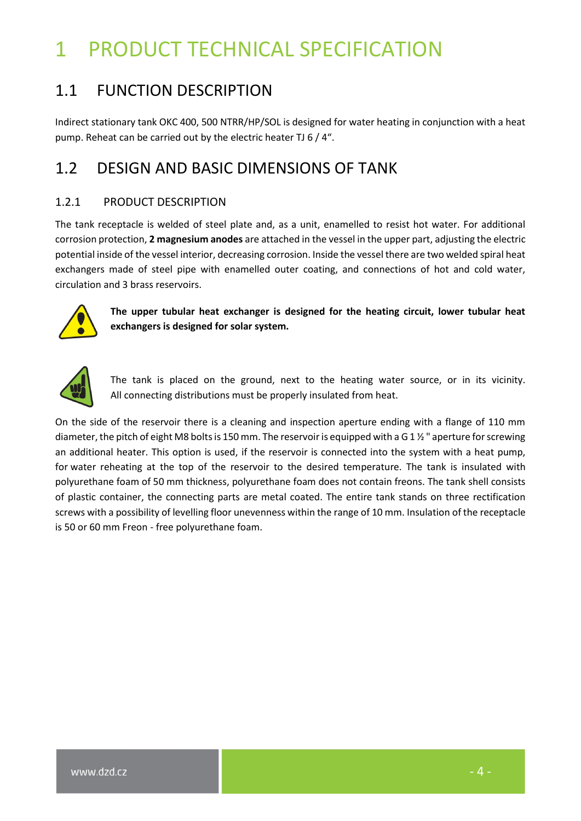## <span id="page-3-0"></span>1 PRODUCT TECHNICAL SPECIFICATION

## <span id="page-3-1"></span>1.1 FUNCTION DESCRIPTION

Indirect stationary tank OKC 400, 500 NTRR/HP/SOL is designed for water heating in conjunction with a heat pump. Reheat can be carried out by the electric heater TJ 6 / 4".

### <span id="page-3-2"></span>1.2 DESIGN AND BASIC DIMENSIONS OF TANK

#### <span id="page-3-3"></span>1.2.1 PRODUCT DESCRIPTION

The tank receptacle is welded of steel plate and, as a unit, enamelled to resist hot water. For additional corrosion protection, **2 magnesium anodes** are attached in the vessel in the upper part, adjusting the electric potential inside of the vessel interior, decreasing corrosion. Inside the vessel there are two welded spiral heat exchangers made of steel pipe with enamelled outer coating, and connections of hot and cold water, circulation and 3 brass reservoirs.



**The upper tubular heat exchanger is designed for the heating circuit, lower tubular heat exchangers is designed for solar system.**



The tank is placed on the ground, next to the heating water source, or in its vicinity. All connecting distributions must be properly insulated from heat.

On the side of the reservoir there is a cleaning and inspection aperture ending with a flange of 110 mm diameter, the pitch of eight M8 bolts is 150 mm. The reservoir is equipped with a G 1  $\frac{1}{2}$  " aperture for screwing an additional heater. This option is used, if the reservoir is connected into the system with a heat pump, for water reheating at the top of the reservoir to the desired temperature. The tank is insulated with polyurethane foam of 50 mm thickness, polyurethane foam does not contain freons. The tank shell consists of plastic container, the connecting parts are metal coated. The entire tank stands on three rectification screws with a possibility of levelling floor unevenness within the range of 10 mm. Insulation of the receptacle is 50 or 60 mm Freon - free polyurethane foam.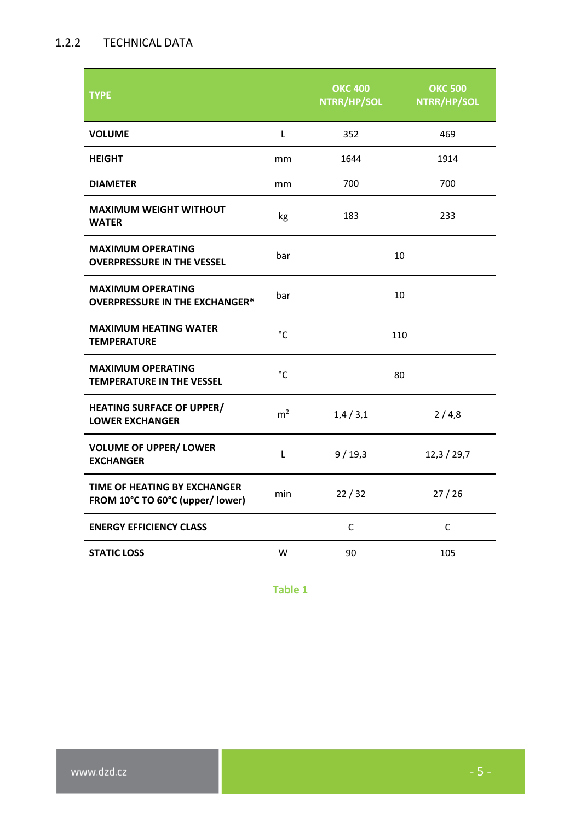<span id="page-4-0"></span>

| <b>TYPE</b>                                                       |                | <b>OKC 400</b><br>NTRR/HP/SOL | <b>OKC 500</b><br>NTRR/HP/SOL |
|-------------------------------------------------------------------|----------------|-------------------------------|-------------------------------|
| <b>VOLUME</b>                                                     | L              | 352                           | 469                           |
| <b>HEIGHT</b>                                                     | mm             | 1644                          | 1914                          |
| <b>DIAMETER</b>                                                   | mm             | 700                           | 700                           |
| <b>MAXIMUM WEIGHT WITHOUT</b><br><b>WATER</b>                     | kg             | 183                           | 233                           |
| <b>MAXIMUM OPERATING</b><br><b>OVERPRESSURE IN THE VESSEL</b>     | bar            | 10                            |                               |
| <b>MAXIMUM OPERATING</b><br><b>OVERPRESSURE IN THE EXCHANGER*</b> | bar            | 10                            |                               |
| <b>MAXIMUM HEATING WATER</b><br><b>TEMPERATURE</b>                | $^{\circ}$ C   | 110                           |                               |
| <b>MAXIMUM OPERATING</b><br><b>TEMPERATURE IN THE VESSEL</b>      | °C             | 80                            |                               |
| <b>HEATING SURFACE OF UPPER/</b><br><b>LOWER EXCHANGER</b>        | m <sup>2</sup> | 1,4/3,1                       | 2/4,8                         |
| <b>VOLUME OF UPPER/ LOWER</b><br><b>EXCHANGER</b>                 | L              | 9/19,3                        | 12,3/29,7                     |
| TIME OF HEATING BY EXCHANGER<br>FROM 10°C TO 60°C (upper/ lower)  | min            | 22/32                         | 27/26                         |
| <b>ENERGY EFFICIENCY CLASS</b>                                    |                | C                             | C                             |
| <b>STATIC LOSS</b>                                                | W              | 90                            | 105                           |

**Table 1**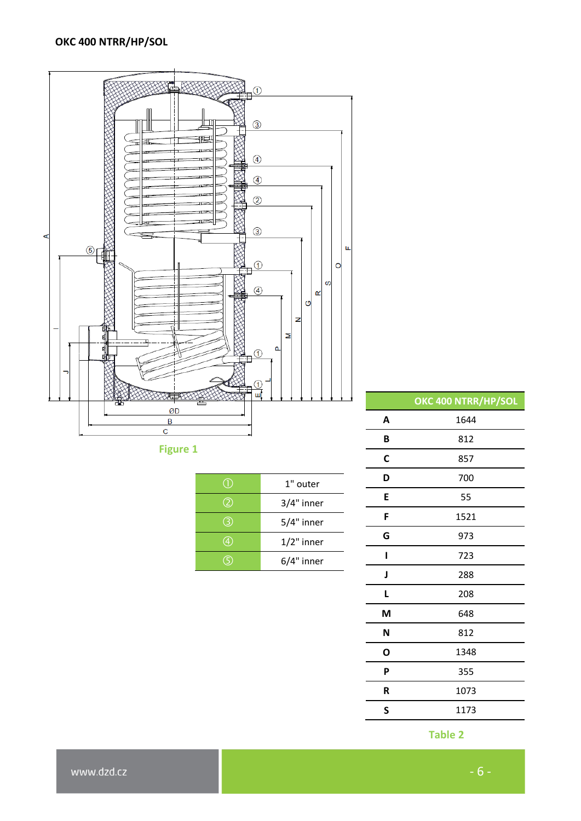



|     | 1" outer      |  |
|-----|---------------|--|
| (2) | 3/4" inner    |  |
| 3)  | $5/4"$ inner  |  |
| 4   | $1/2$ " inner |  |
|     | 6/4" inner    |  |

|   | OKC 400 NTRR/HP/SOL |
|---|---------------------|
| A | 1644                |
| B | 812                 |
| C | 857                 |
| D | 700                 |
| E | 55                  |
| F | 1521                |
| G | 973                 |
| ı | 723                 |
| J | 288                 |
| L | 208                 |
| M | 648                 |
| N | 812                 |
| O | 1348                |
| P | 355                 |
| R | 1073                |
| S | 1173                |

**Table 2**

#### www.dzd.cz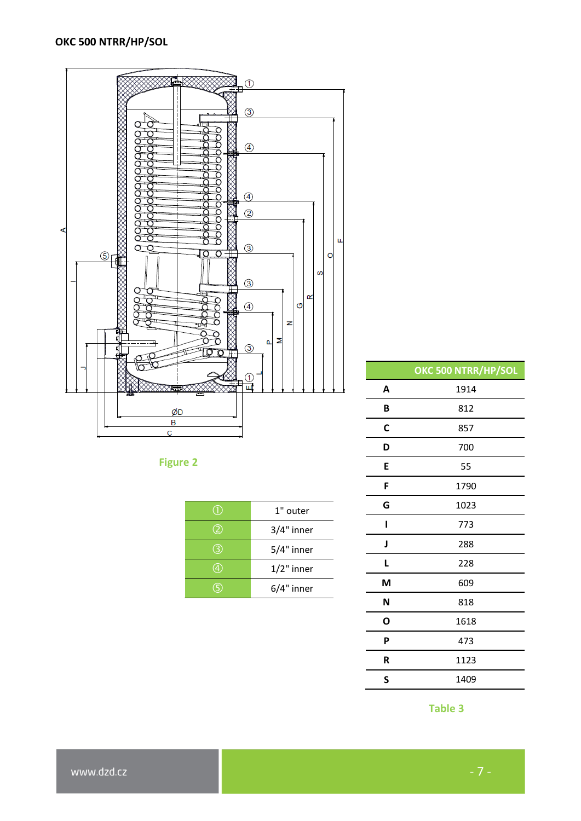

|   | OKC 500 NTRR/HP/SOL |
|---|---------------------|
| A | 1914                |
| В | 812                 |
| C | 857                 |
| D | 700                 |
| E | 55                  |
| F | 1790                |
| G | 1023                |
| ı | 773                 |
| J | 288                 |
| L | 228                 |
| M | 609                 |
| N | 818                 |
| O | 1618                |
| P | 473                 |
| R | 1123                |
| S | 1409                |

**Figure 2**

|     | 1" outer      |  |
|-----|---------------|--|
| (2) | $3/4"$ inner  |  |
|     | $5/4"$ inner  |  |
| 4   | $1/2$ " inner |  |
|     | $6/4"$ inner  |  |

**Table 3**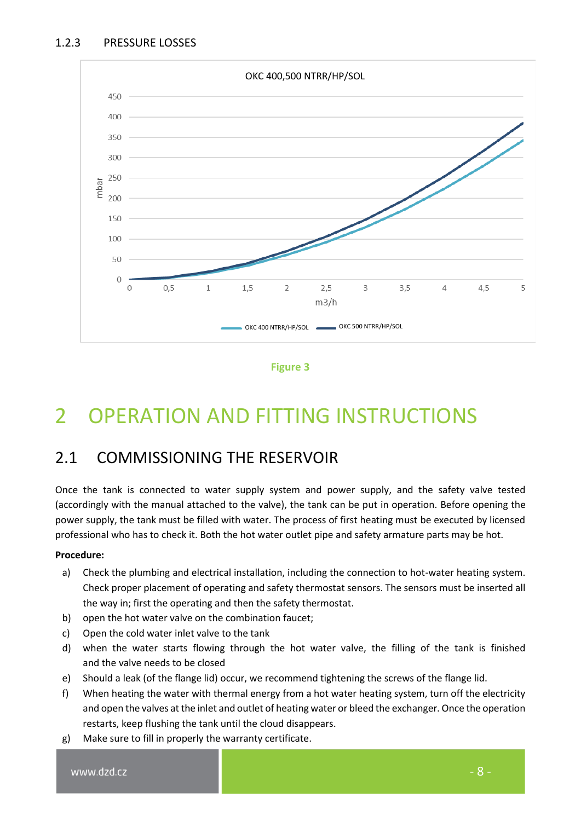<span id="page-7-0"></span>

**Figure 3**

## <span id="page-7-1"></span>2 OPERATION AND FITTING INSTRUCTIONS

### <span id="page-7-2"></span>2.1 COMMISSIONING THE RESERVOIR

Once the tank is connected to water supply system and power supply, and the safety valve tested (accordingly with the manual attached to the valve), the tank can be put in operation. Before opening the power supply, the tank must be filled with water. The process of first heating must be executed by licensed professional who has to check it. Both the hot water outlet pipe and safety armature parts may be hot.

#### **Procedure:**

- a) Check the plumbing and electrical installation, including the connection to hot-water heating system. Check proper placement of operating and safety thermostat sensors. The sensors must be inserted all the way in; first the operating and then the safety thermostat.
- b) open the hot water valve on the combination faucet;
- c) Open the cold water inlet valve to the tank
- d) when the water starts flowing through the hot water valve, the filling of the tank is finished and the valve needs to be closed
- e) Should a leak (of the flange lid) occur, we recommend tightening the screws of the flange lid.
- f) When heating the water with thermal energy from a hot water heating system, turn off the electricity and open the valves at the inlet and outlet of heating water or bleed the exchanger. Once the operation restarts, keep flushing the tank until the cloud disappears.
- g) Make sure to fill in properly the warranty certificate.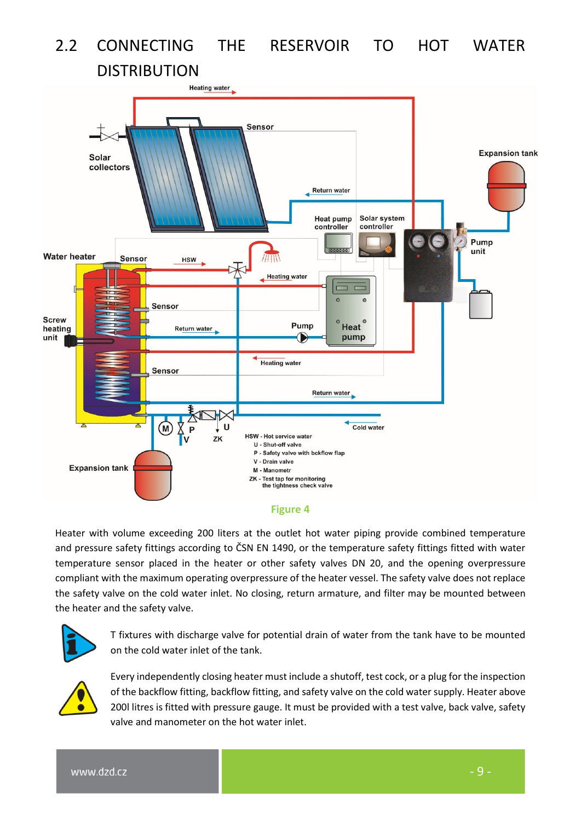## <span id="page-8-0"></span>2.2 CONNECTING THE RESERVOIR TO HOT WATER



#### **Figure 4**

Heater with volume exceeding 200 liters at the outlet hot water piping provide combined temperature and pressure safety fittings according to ČSN EN 1490, or the temperature safety fittings fitted with water temperature sensor placed in the heater or other safety valves DN 20, and the opening overpressure compliant with the maximum operating overpressure of the heater vessel. The safety valve does not replace the safety valve on the cold water inlet. No closing, return armature, and filter may be mounted between the heater and the safety valve.



T fixtures with discharge valve for potential drain of water from the tank have to be mounted on the cold water inlet of the tank.



Every independently closing heater must include a shutoff, test cock, or a plug for the inspection of the backflow fitting, backflow fitting, and safety valve on the cold water supply. Heater above 200l litres is fitted with pressure gauge. It must be provided with a test valve, back valve, safety valve and manometer on the hot water inlet.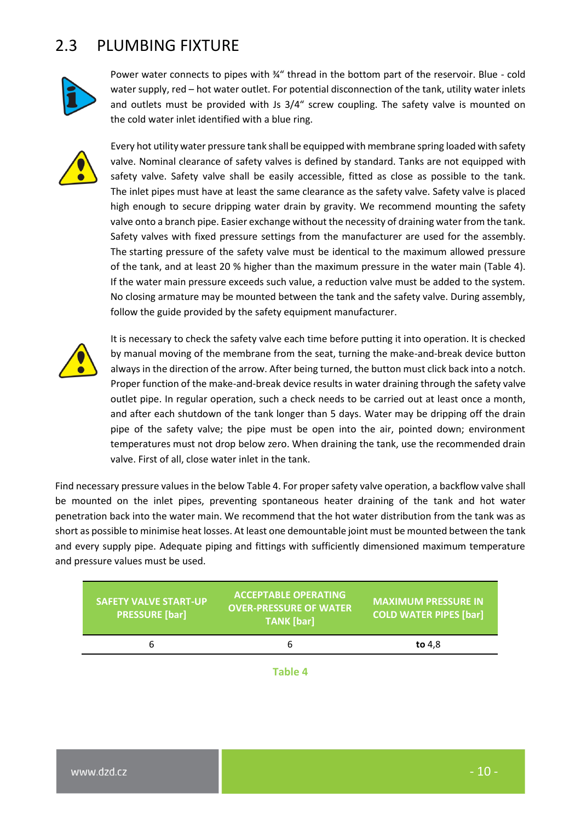### <span id="page-9-0"></span>2.3 PLUMBING FIXTURE



Power water connects to pipes with ¾" thread in the bottom part of the reservoir. Blue - cold water supply, red – hot water outlet. For potential disconnection of the tank, utility water inlets and outlets must be provided with Js 3/4" screw coupling. The safety valve is mounted on the cold water inlet identified with a blue ring.



Every hot utility water pressure tank shall be equipped with membrane spring loaded with safety valve. Nominal clearance of safety valves is defined by standard. Tanks are not equipped with safety valve. Safety valve shall be easily accessible, fitted as close as possible to the tank. The inlet pipes must have at least the same clearance as the safety valve. Safety valve is placed high enough to secure dripping water drain by gravity. We recommend mounting the safety valve onto a branch pipe. Easier exchange without the necessity of draining water from the tank. Safety valves with fixed pressure settings from the manufacturer are used for the assembly. The starting pressure of the safety valve must be identical to the maximum allowed pressure of the tank, and at least 20 % higher than the maximum pressure in the water main [\(Table 4\)](#page-9-1). If the water main pressure exceeds such value, a reduction valve must be added to the system. No closing armature may be mounted between the tank and the safety valve. During assembly, follow the guide provided by the safety equipment manufacturer.



It is necessary to check the safety valve each time before putting it into operation. It is checked by manual moving of the membrane from the seat, turning the make-and-break device button always in the direction of the arrow. After being turned, the button must click back into a notch. Proper function of the make-and-break device results in water draining through the safety valve outlet pipe. In regular operation, such a check needs to be carried out at least once a month, and after each shutdown of the tank longer than 5 days. Water may be dripping off the drain pipe of the safety valve; the pipe must be open into the air, pointed down; environment temperatures must not drop below zero. When draining the tank, use the recommended drain valve. First of all, close water inlet in the tank.

Find necessary pressure values in the below [Table 4.](#page-9-1) For proper safety valve operation, a backflow valve shall be mounted on the inlet pipes, preventing spontaneous heater draining of the tank and hot water penetration back into the water main. We recommend that the hot water distribution from the tank was as short as possible to minimise heat losses. At least one demountable joint must be mounted between the tank and every supply pipe. Adequate piping and fittings with sufficiently dimensioned maximum temperature and pressure values must be used.

<span id="page-9-1"></span>

| <b>SAFETY VALVE START-UP</b><br><b>PRESSURE [bar]</b> | <b>ACCEPTABLE OPERATING</b><br><b>OVER-PRESSURE OF WATER</b><br><b>TANK [bar]</b> | <b>MAXIMUM PRESSURE IN</b><br><b>COLD WATER PIPES [bar]</b> |
|-------------------------------------------------------|-----------------------------------------------------------------------------------|-------------------------------------------------------------|
| b                                                     | h                                                                                 | to $4.8$                                                    |

**Table 4**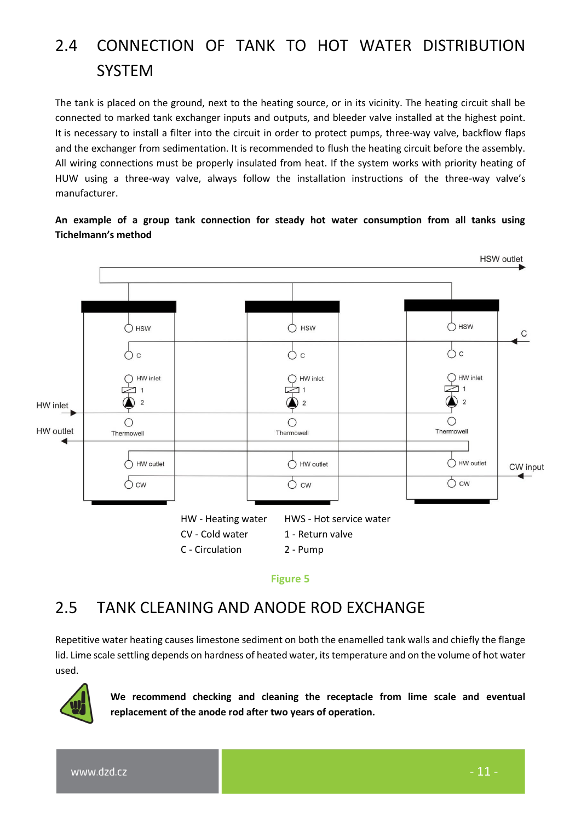## <span id="page-10-0"></span>2.4 CONNECTION OF TANK TO HOT WATER DISTRIBUTION **SYSTEM**

The tank is placed on the ground, next to the heating source, or in its vicinity. The heating circuit shall be connected to marked tank exchanger inputs and outputs, and bleeder valve installed at the highest point. It is necessary to install a filter into the circuit in order to protect pumps, three-way valve, backflow flaps and the exchanger from sedimentation. It is recommended to flush the heating circuit before the assembly. All wiring connections must be properly insulated from heat. If the system works with priority heating of HUW using a three-way valve, always follow the installation instructions of the three-way valve's manufacturer.

#### **An example of a group tank connection for steady hot water consumption from all tanks using Tichelmann's method**



**Figure 5**

## <span id="page-10-1"></span>2.5 TANK CLEANING AND ANODE ROD EXCHANGE

Repetitive water heating causes limestone sediment on both the enamelled tank walls and chiefly the flange lid. Lime scale settling depends on hardness of heated water, its temperature and on the volume of hot water used.



**We recommend checking and cleaning the receptacle from lime scale and eventual replacement of the anode rod after two years of operation.**

#### www.dzd.cz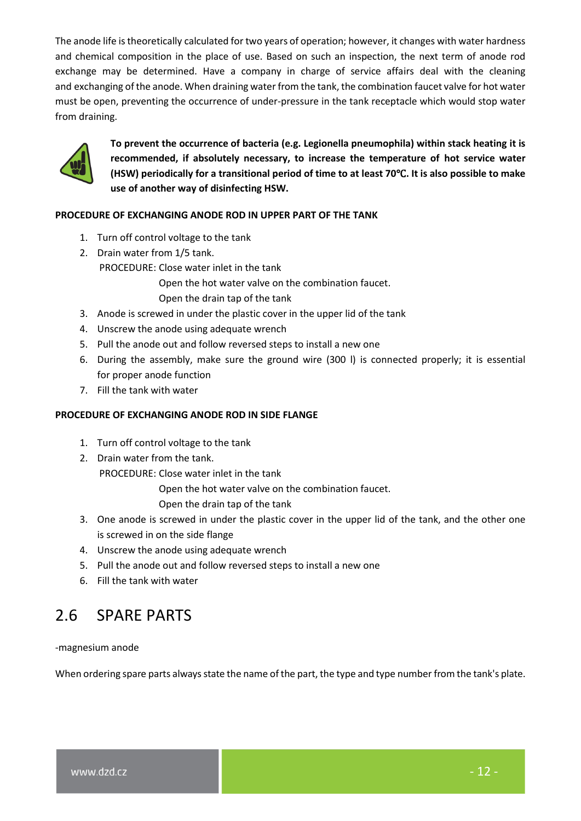The anode life is theoretically calculated for two years of operation; however, it changes with water hardness and chemical composition in the place of use. Based on such an inspection, the next term of anode rod exchange may be determined. Have a company in charge of service affairs deal with the cleaning and exchanging of the anode. When draining water from the tank, the combination faucet valve for hot water must be open, preventing the occurrence of under-pressure in the tank receptacle which would stop water from draining.



**To prevent the occurrence of bacteria (e.g. Legionella pneumophila) within stack heating it is recommended, if absolutely necessary, to increase the temperature of hot service water (HSW) periodically for a transitional period of time to at least 70**℃**. It is also possible to make use of another way of disinfecting HSW.**

#### **PROCEDURE OF EXCHANGING ANODE ROD IN UPPER PART OF THE TANK**

- 1. Turn off control voltage to the tank
- 2. Drain water from 1/5 tank. PROCEDURE: Close water inlet in the tank Open the hot water valve on the combination faucet.
	- Open the drain tap of the tank
- 3. Anode is screwed in under the plastic cover in the upper lid of the tank
- 4. Unscrew the anode using adequate wrench
- 5. Pull the anode out and follow reversed steps to install a new one
- 6. During the assembly, make sure the ground wire (300 l) is connected properly; it is essential for proper anode function
- 7. Fill the tank with water

#### **PROCEDURE OF EXCHANGING ANODE ROD IN SIDE FLANGE**

- 1. Turn off control voltage to the tank
- 2. Drain water from the tank.
	- PROCEDURE: Close water inlet in the tank
		- Open the hot water valve on the combination faucet.
		- Open the drain tap of the tank
- 3. One anode is screwed in under the plastic cover in the upper lid of the tank, and the other one is screwed in on the side flange
- 4. Unscrew the anode using adequate wrench
- 5. Pull the anode out and follow reversed steps to install a new one
- 6. Fill the tank with water

### <span id="page-11-0"></span>2.6 SPARE PARTS

-magnesium anode

When ordering spare parts always state the name of the part, the type and type number from the tank's plate.